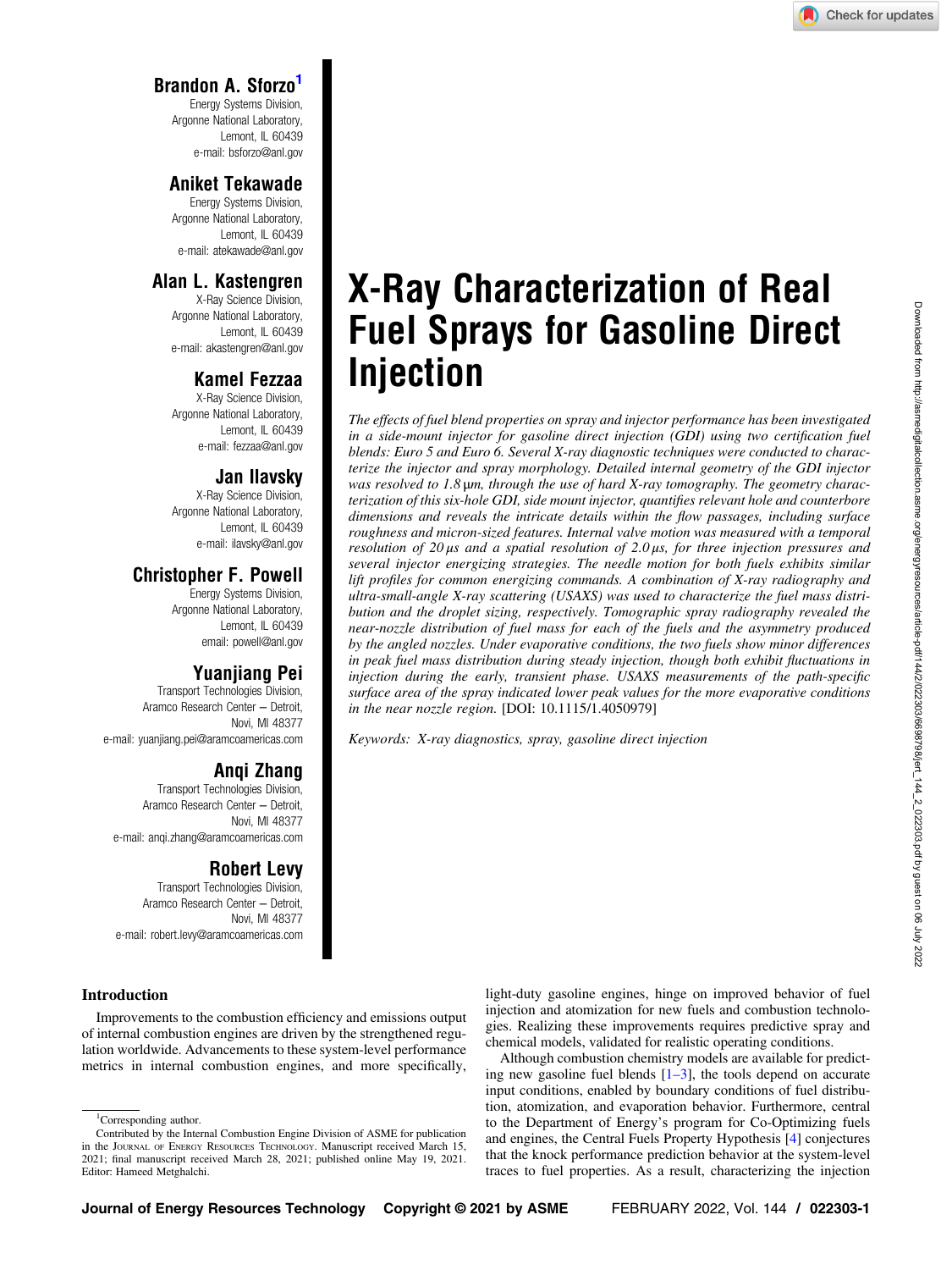# Brandon A. Sforzo1

Energy Systems Division, Argonne National Laboratory, Lemont, IL 60439 e-mail: [bsforzo@anl.gov](mailto:bsforzo@anl.gov)

## Aniket Tekawade

Energy Systems Division, Argonne National Laboratory, Lemont, IL 60439 e-mail: [atekawade@anl.gov](mailto:atekawade@anl.gov)

# Alan L. Kastengren

X-Ray Science Division, Argonne National Laboratory, Lemont, IL 60439 e-mail: [akastengren@anl.gov](mailto:akastengren@anl.gov)

# Kamel Fezzaa

X-Ray Science Division, Argonne National Laboratory, Lemont, IL 60439 e-mail: [fezzaa@anl.gov](mailto:fezzaa@anl.gov)

## Jan Ilavsky

X-Ray Science Division, Argonne National Laboratory, Lemont, IL 60439 e-mail: [ilavsky@anl.gov](mailto:ilavsky@anl.gov)

# Christopher F. Powell

Energy Systems Division, Argonne National Laboratory, Lemont, IL 60439 email: [powell@anl.gov](mailto:powell@anl.gov)

# Yuanjiang Pei

Transport Technologies Division, Aramco Research Center – Detroit, Novi, MI 48377 e-mail: [yuanjiang.pei@aramcoamericas.com](mailto:yuanjiang.pei@aramcoamericas.com)

# Anqi Zhang

Transport Technologies Division, Aramco Research Center – Detroit, Novi, MI 48377 e-mail: [anqi.zhang@aramcoamericas.com](mailto:anqi.zhang@aramcoamericas.com)

## Robert Levy

Transport Technologies Division, Aramco Research Center – Detroit, Novi, MI 48377 e-mail: [robert.levy@aramcoamericas.com](mailto:robert.levy@aramcoamericas.com)

# X-Ray Characterization of Real Fuel Sprays for Gasoline Direct Injection

The effects of fuel blend properties on spray and injector performance has been investigated in a side-mount injector for gasoline direct injection (GDI) using two certification fuel blends: Euro 5 and Euro 6. Several X-ray diagnostic techniques were conducted to characterize the injector and spray morphology. Detailed internal geometry of the GDI injector was resolved to 1.8 μm, through the use of hard X-ray tomography. The geometry characterization of this six-hole GDI, side mount injector, quantifies relevant hole and counterbore dimensions and reveals the intricate details within the flow passages, including surface roughness and micron-sized features. Internal valve motion was measured with a temporal resolution of 20 μs and a spatial resolution of 2.0 μs, for three injection pressures and several injector energizing strategies. The needle motion for both fuels exhibits similar lift profiles for common energizing commands. A combination of X-ray radiography and ultra-small-angle X-ray scattering (USAXS) was used to characterize the fuel mass distribution and the droplet sizing, respectively. Tomographic spray radiography revealed the near-nozzle distribution of fuel mass for each of the fuels and the asymmetry produced by the angled nozzles. Under evaporative conditions, the two fuels show minor differences in peak fuel mass distribution during steady injection, though both exhibit fluctuations in injection during the early, transient phase. USAXS measurements of the path-specific surface area of the spray indicated lower peak values for the more evaporative conditions in the near nozzle region. [DOI: 10.1115/1.4050979]

Keywords: X-ray diagnostics, spray, gasoline direct injection

### Introduction

Improvements to the combustion efficiency and emissions output of internal combustion engines are driven by the strengthened regulation worldwide. Advancements to these system-level performance metrics in internal combustion engines, and more specifically,

<sup>1</sup>Corresponding author.

light-duty gasoline engines, hinge on improved behavior of fuel injection and atomization for new fuels and combustion technologies. Realizing these improvements requires predictive spray and chemical models, validated for realistic operating conditions.

Although combustion chemistry models are available for predicting new gasoline fuel blends  $[1-3]$ , the tools depend on accurate input conditions, enabled by boundary conditions of fuel distribution, atomization, and evaporation behavior. Furthermore, central to the Department of Energy's program for Co-Optimizing fuels and engines, the Central Fuels Property Hypothesis [[4](#page-6-0)] conjectures that the knock performance prediction behavior at the system-level traces to fuel properties. As a result, characterizing the injection

Contributed by the Internal Combustion Engine Division of ASME for publication in the JOURNAL OF ENERGY RESOURCES TECHNOLOGY. Manuscript received March 15, 2021; final manuscript received March 28, 2021; published online May 19, 2021. Editor: Hameed Metghalchi.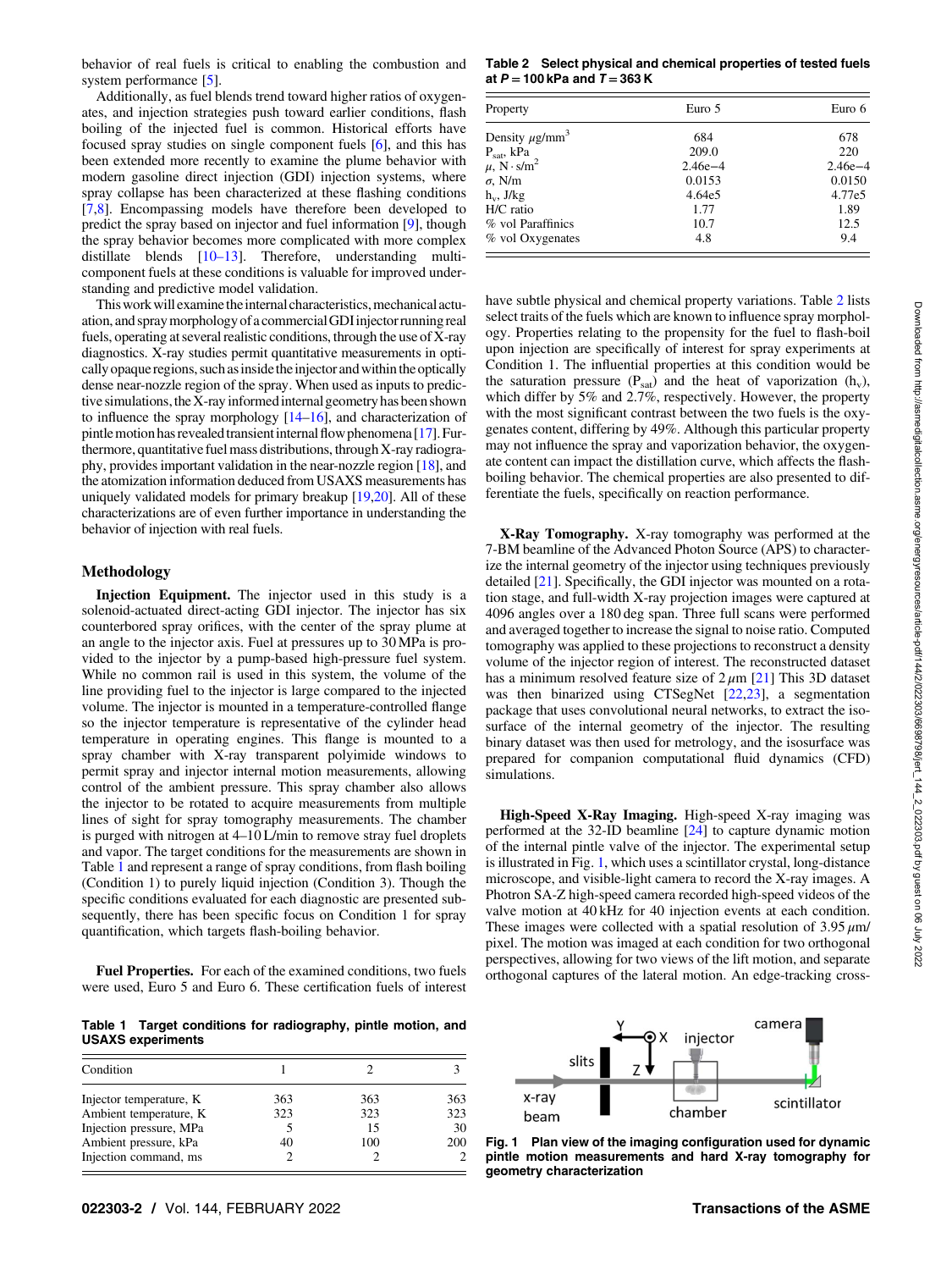<span id="page-1-0"></span>behavior of real fuels is critical to enabling the combustion and system performance [[5](#page-6-0)].

Additionally, as fuel blends trend toward higher ratios of oxygenates, and injection strategies push toward earlier conditions, flash boiling of the injected fuel is common. Historical efforts have focused spray studies on single component fuels [\[6\]](#page-6-0), and this has been extended more recently to examine the plume behavior with modern gasoline direct injection (GDI) injection systems, where spray collapse has been characterized at these flashing conditions [[7](#page-6-0),[8](#page-6-0)]. Encompassing models have therefore been developed to predict the spray based on injector and fuel information [\[9\]](#page-6-0), though the spray behavior becomes more complicated with more complex distillate blends [10–13]. Therefore, understanding multicomponent fuels at these conditions is valuable for improved understanding and predictive model validation.

This work will examine the internal characteristics, mechanical actuation, and spraymorphology of a commercialGDIinjector running real fuels, operating at several realistic conditions, through the use of X-ray diagnostics. X-ray studies permit quantitative measurements in optically opaque regions, such as inside the injector and within the optically dense near-nozzle region of the spray. When used as inputs to predictive simulations, the X-ray informed internal geometry has been shown to influence the spray morphology [[14](#page-6-0)–[16\]](#page-6-0), and characterization of pintle motion has revealed transient internal flow phenomena [\[17\]](#page-6-0). Furthermore, quantitative fuel mass distributions, through X-ray radiography, provides important validation in the near-nozzle region [[18](#page-6-0)], and the atomization information deduced from USAXS measurements has uniquely validated models for primary breakup [\[19,20](#page-6-0)]. All of these characterizations are of even further importance in understanding the behavior of injection with real fuels.

### Methodology

Injection Equipment. The injector used in this study is a solenoid-actuated direct-acting GDI injector. The injector has six counterbored spray orifices, with the center of the spray plume at an angle to the injector axis. Fuel at pressures up to 30 MPa is provided to the injector by a pump-based high-pressure fuel system. While no common rail is used in this system, the volume of the line providing fuel to the injector is large compared to the injected volume. The injector is mounted in a temperature-controlled flange so the injector temperature is representative of the cylinder head temperature in operating engines. This flange is mounted to a spray chamber with X-ray transparent polyimide windows to permit spray and injector internal motion measurements, allowing control of the ambient pressure. This spray chamber also allows the injector to be rotated to acquire measurements from multiple lines of sight for spray tomography measurements. The chamber is purged with nitrogen at 4–10 L/min to remove stray fuel droplets and vapor. The target conditions for the measurements are shown in Table 1 and represent a range of spray conditions, from flash boiling (Condition 1) to purely liquid injection (Condition 3). Though the specific conditions evaluated for each diagnostic are presented subsequently, there has been specific focus on Condition 1 for spray quantification, which targets flash-boiling behavior.

Fuel Properties. For each of the examined conditions, two fuels were used, Euro 5 and Euro 6. These certification fuels of interest

Table 1 Target conditions for radiography, pintle motion, and USAXS experiments

| Condition               |     |     |     |
|-------------------------|-----|-----|-----|
| Injector temperature, K | 363 | 363 | 363 |
| Ambient temperature, K  | 323 | 323 | 323 |
| Injection pressure, MPa |     | 15  | 30  |
| Ambient pressure, kPa   | 40  | 100 | 200 |
| Injection command, ms   |     |     |     |

Table 2 Select physical and chemical properties of tested fuels at  $P = 100$  kPa and  $T = 363$  K

| Property                        | Euro 5      | Euro 6      |
|---------------------------------|-------------|-------------|
| Density $\mu$ g/mm <sup>3</sup> | 684         | 678         |
| $P_{\text{sat}}$ , kPa          | 209.0       | 220         |
| $\mu$ , N · s/m <sup>2</sup>    | $2.46e - 4$ | $2.46e - 4$ |
| $\sigma$ , N/m                  | 0.0153      | 0.0150      |
| $h_v$ , J/kg                    | 4.64e5      | 4.77e5      |
| H/C ratio                       | 1.77        | 1.89        |
| % vol Paraffinics               | 10.7        | 12.5        |
| % vol Oxygenates                | 4.8         | 9.4         |

have subtle physical and chemical property variations. Table 2 lists select traits of the fuels which are known to influence spray morphology. Properties relating to the propensity for the fuel to flash-boil upon injection are specifically of interest for spray experiments at Condition 1. The influential properties at this condition would be the saturation pressure ( $P_{sat}$ ) and the heat of vaporization ( $h_v$ ), which differ by 5% and 2.7%, respectively. However, the property with the most significant contrast between the two fuels is the oxygenates content, differing by 49%. Although this particular property may not influence the spray and vaporization behavior, the oxygenate content can impact the distillation curve, which affects the flashboiling behavior. The chemical properties are also presented to differentiate the fuels, specifically on reaction performance.

X-Ray Tomography. X-ray tomography was performed at the 7-BM beamline of the Advanced Photon Source (APS) to characterize the internal geometry of the injector using techniques previously detailed [\[21](#page-6-0)]. Specifically, the GDI injector was mounted on a rotation stage, and full-width X-ray projection images were captured at 4096 angles over a 180 deg span. Three full scans were performed and averaged together to increase the signal to noise ratio. Computed tomography was applied to these projections to reconstruct a density volume of the injector region of interest. The reconstructed dataset has a minimum resolved feature size of  $2 \mu m$  [[21\]](#page-6-0) This 3D dataset was then binarized using CTSegNet [[22](#page-6-0),[23\]](#page-6-0), a segmentation package that uses convolutional neural networks, to extract the isosurface of the internal geometry of the injector. The resulting binary dataset was then used for metrology, and the isosurface was prepared for companion computational fluid dynamics (CFD) simulations.

High-Speed X-Ray Imaging. High-speed X-ray imaging was performed at the 32-ID beamline [[24\]](#page-6-0) to capture dynamic motion of the internal pintle valve of the injector. The experimental setup is illustrated in Fig. 1, which uses a scintillator crystal, long-distance microscope, and visible-light camera to record the X-ray images. A Photron SA-Z high-speed camera recorded high-speed videos of the valve motion at 40 kHz for 40 injection events at each condition. These images were collected with a spatial resolution of  $3.95 \mu m/$ pixel. The motion was imaged at each condition for two orthogonal perspectives, allowing for two views of the lift motion, and separate orthogonal captures of the lateral motion. An edge-tracking cross-



Fig. 1 Plan view of the imaging configuration used for dynamic pintle motion measurements and hard X-ray tomography for geometry characterization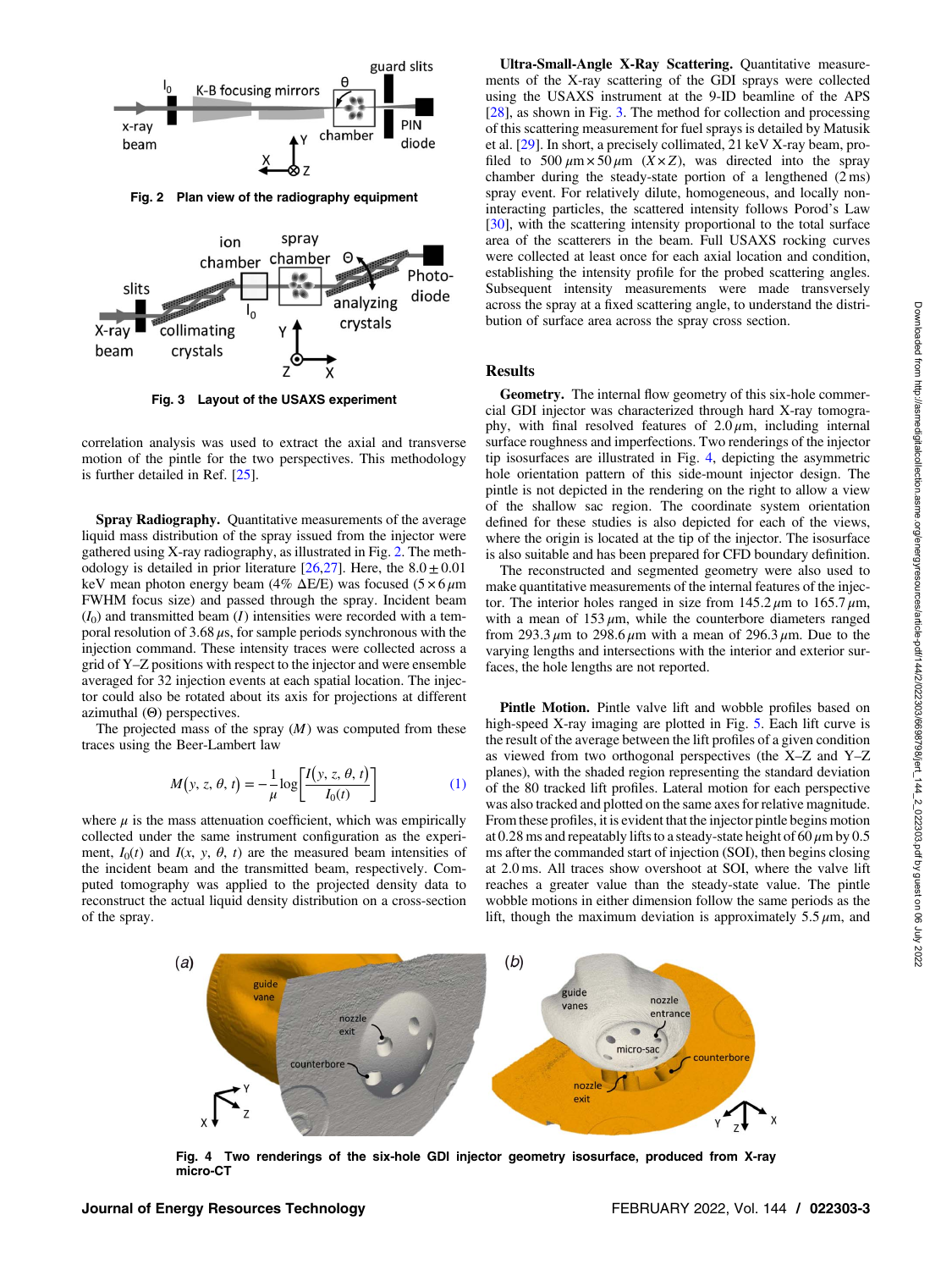

Fig. 2 Plan view of the radiography equipment



Fig. 3 Layout of the USAXS experiment

correlation analysis was used to extract the axial and transverse motion of the pintle for the two perspectives. This methodology is further detailed in Ref. [[25](#page-6-0)].

Spray Radiography. Quantitative measurements of the average liquid mass distribution of the spray issued from the injector were gathered using X-ray radiography, as illustrated in Fig. 2. The methodology is detailed in prior literature  $[26,27]$  $[26,27]$ . Here, the  $8.0 \pm 0.01$ keV mean photon energy beam (4%  $\Delta E/E$ ) was focused (5 × 6  $\mu$ m FWHM focus size) and passed through the spray. Incident beam  $(I<sub>0</sub>)$  and transmitted beam  $(I)$  intensities were recorded with a temporal resolution of 3.68  $\mu$ s, for sample periods synchronous with the injection command. These intensity traces were collected across a grid of Y–Z positions with respect to the injector and were ensemble averaged for 32 injection events at each spatial location. The injector could also be rotated about its axis for projections at different azimuthal (Θ) perspectives.

The projected mass of the spray  $(M)$  was computed from these traces using the Beer-Lambert law

$$
M(y, z, \theta, t) = -\frac{1}{\mu} \log \left[ \frac{I(y, z, \theta, t)}{I_0(t)} \right]
$$
 (1)

where  $\mu$  is the mass attenuation coefficient, which was empirically collected under the same instrument configuration as the experiment,  $I_0(t)$  and  $I(x, y, \theta, t)$  are the measured beam intensities of the incident beam and the transmitted beam, respectively. Computed tomography was applied to the projected density data to reconstruct the actual liquid density distribution on a cross-section of the spray.

Ultra-Small-Angle X-Ray Scattering. Quantitative measurements of the X-ray scattering of the GDI sprays were collected using the USAXS instrument at the 9-ID beamline of the APS [[28\]](#page-6-0), as shown in Fig. 3. The method for collection and processing of this scattering measurement for fuel sprays is detailed by Matusik et al. [[29\]](#page-6-0). In short, a precisely collimated, 21 keV X-ray beam, profiled to 500  $\mu$ m × 50  $\mu$ m (X × Z), was directed into the spray chamber during the steady-state portion of a lengthened (2 ms) spray event. For relatively dilute, homogeneous, and locally noninteracting particles, the scattered intensity follows Porod's Law [[30\]](#page-6-0), with the scattering intensity proportional to the total surface area of the scatterers in the beam. Full USAXS rocking curves were collected at least once for each axial location and condition, establishing the intensity profile for the probed scattering angles. Subsequent intensity measurements were made transversely across the spray at a fixed scattering angle, to understand the distribution of surface area across the spray cross section.

### Results

Geometry. The internal flow geometry of this six-hole commercial GDI injector was characterized through hard X-ray tomography, with final resolved features of  $2.0 \mu m$ , including internal surface roughness and imperfections. Two renderings of the injector tip isosurfaces are illustrated in Fig. 4, depicting the asymmetric hole orientation pattern of this side-mount injector design. The pintle is not depicted in the rendering on the right to allow a view of the shallow sac region. The coordinate system orientation defined for these studies is also depicted for each of the views, where the origin is located at the tip of the injector. The isosurface is also suitable and has been prepared for CFD boundary definition.

The reconstructed and segmented geometry were also used to make quantitative measurements of the internal features of the injector. The interior holes ranged in size from  $145.2 \mu m$  to  $165.7 \mu m$ , with a mean of  $153 \mu m$ , while the counterbore diameters ranged from 293.3  $\mu$ m to 298.6  $\mu$ m with a mean of 296.3  $\mu$ m. Due to the varying lengths and intersections with the interior and exterior surfaces, the hole lengths are not reported.

Pintle Motion. Pintle valve lift and wobble profiles based on high-speed X-ray imaging are plotted in Fig. [5.](#page-3-0) Each lift curve is the result of the average between the lift profiles of a given condition as viewed from two orthogonal perspectives (the X–Z and Y–Z planes), with the shaded region representing the standard deviation of the 80 tracked lift profiles. Lateral motion for each perspective was also tracked and plotted on the same axes for relative magnitude. From these profiles, it is evident that the injector pintle begins motion at 0.28 ms and repeatably lifts to a steady-state height of 60  $\mu$ m by 0.5 ms after the commanded start of injection (SOI), then begins closing at 2.0 ms. All traces show overshoot at SOI, where the valve lift reaches a greater value than the steady-state value. The pintle wobble motions in either dimension follow the same periods as the lift, though the maximum deviation is approximately  $5.5 \mu m$ , and



Fig. 4 Two renderings of the six-hole GDI injector geometry isosurface, produced from X-ray micro-CT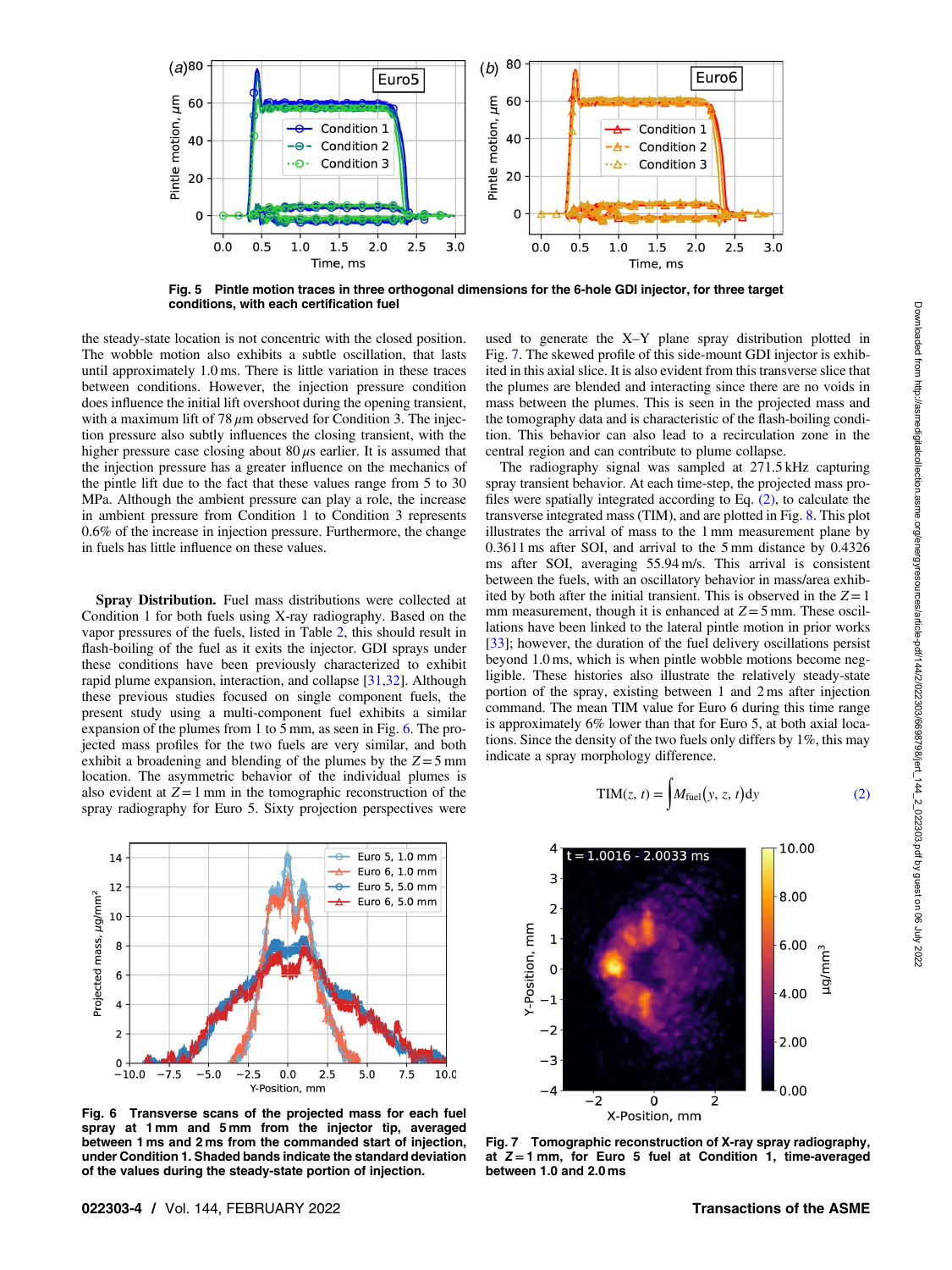<span id="page-3-0"></span>

Fig. 5 Pintle motion traces in three orthogonal dimensions for the 6-hole GDI injector, for three target conditions, with each certification fuel

the steady-state location is not concentric with the closed position. The wobble motion also exhibits a subtle oscillation, that lasts until approximately 1.0 ms. There is little variation in these traces between conditions. However, the injection pressure condition does influence the initial lift overshoot during the opening transient, with a maximum lift of 78  $\mu$ m observed for Condition 3. The injection pressure also subtly influences the closing transient, with the higher pressure case closing about  $80 \mu s$  earlier. It is assumed that the injection pressure has a greater influence on the mechanics of the pintle lift due to the fact that these values range from 5 to 30 MPa. Although the ambient pressure can play a role, the increase in ambient pressure from Condition 1 to Condition 3 represents 0.6% of the increase in injection pressure. Furthermore, the change in fuels has little influence on these values.

Spray Distribution. Fuel mass distributions were collected at Condition 1 for both fuels using X-ray radiography. Based on the vapor pressures of the fuels, listed in Table [2,](#page-1-0) this should result in flash-boiling of the fuel as it exits the injector. GDI sprays under these conditions have been previously characterized to exhibit rapid plume expansion, interaction, and collapse [\[31](#page-6-0),[32\]](#page-6-0). Although these previous studies focused on single component fuels, the present study using a multi-component fuel exhibits a similar expansion of the plumes from 1 to 5 mm, as seen in Fig. 6. The projected mass profiles for the two fuels are very similar, and both exhibit a broadening and blending of the plumes by the  $Z=5$  mm location. The asymmetric behavior of the individual plumes is also evident at  $Z=1$  mm in the tomographic reconstruction of the spray radiography for Euro 5. Sixty projection perspectives were



Fig. 6 Transverse scans of the projected mass for each fuel spray at 1 mm and 5 mm from the injector tip, averaged between 1 ms and 2 ms from the commanded start of injection, under Condition 1. Shaded bands indicate the standard deviation of the values during the steady-state portion of injection.

used to generate the X–Y plane spray distribution plotted in Fig. 7. The skewed profile of this side-mount GDI injector is exhibited in this axial slice. It is also evident from this transverse slice that the plumes are blended and interacting since there are no voids in mass between the plumes. This is seen in the projected mass and the tomography data and is characteristic of the flash-boiling condition. This behavior can also lead to a recirculation zone in the central region and can contribute to plume collapse.

The radiography signal was sampled at 271.5 kHz capturing spray transient behavior. At each time-step, the projected mass profiles were spatially integrated according to Eq. (2), to calculate the transverse integrated mass (TIM), and are plotted in Fig. [8](#page-4-0). This plot illustrates the arrival of mass to the 1 mm measurement plane by 0.3611 ms after SOI, and arrival to the 5 mm distance by 0.4326 ms after SOI, averaging 55.94 m/s. This arrival is consistent between the fuels, with an oscillatory behavior in mass/area exhibited by both after the initial transient. This is observed in the  $Z=1$ mm measurement, though it is enhanced at  $Z=5$  mm. These oscillations have been linked to the lateral pintle motion in prior works [[33\]](#page-6-0); however, the duration of the fuel delivery oscillations persist beyond 1.0 ms, which is when pintle wobble motions become negligible. These histories also illustrate the relatively steady-state portion of the spray, existing between 1 and 2 ms after injection command. The mean TIM value for Euro 6 during this time range is approximately 6% lower than that for Euro 5, at both axial locations. Since the density of the two fuels only differs by 1%, this may indicate a spray morphology difference.

$$
TIM(z, t) = \int M_{\text{fuel}}(y, z, t) dy
$$
 (2)



Fig. 7 Tomographic reconstruction of X-ray spray radiography, at  $Z = 1$  mm, for Euro 5 fuel at Condition 1, time-averaged between 1.0 and 2.0 ms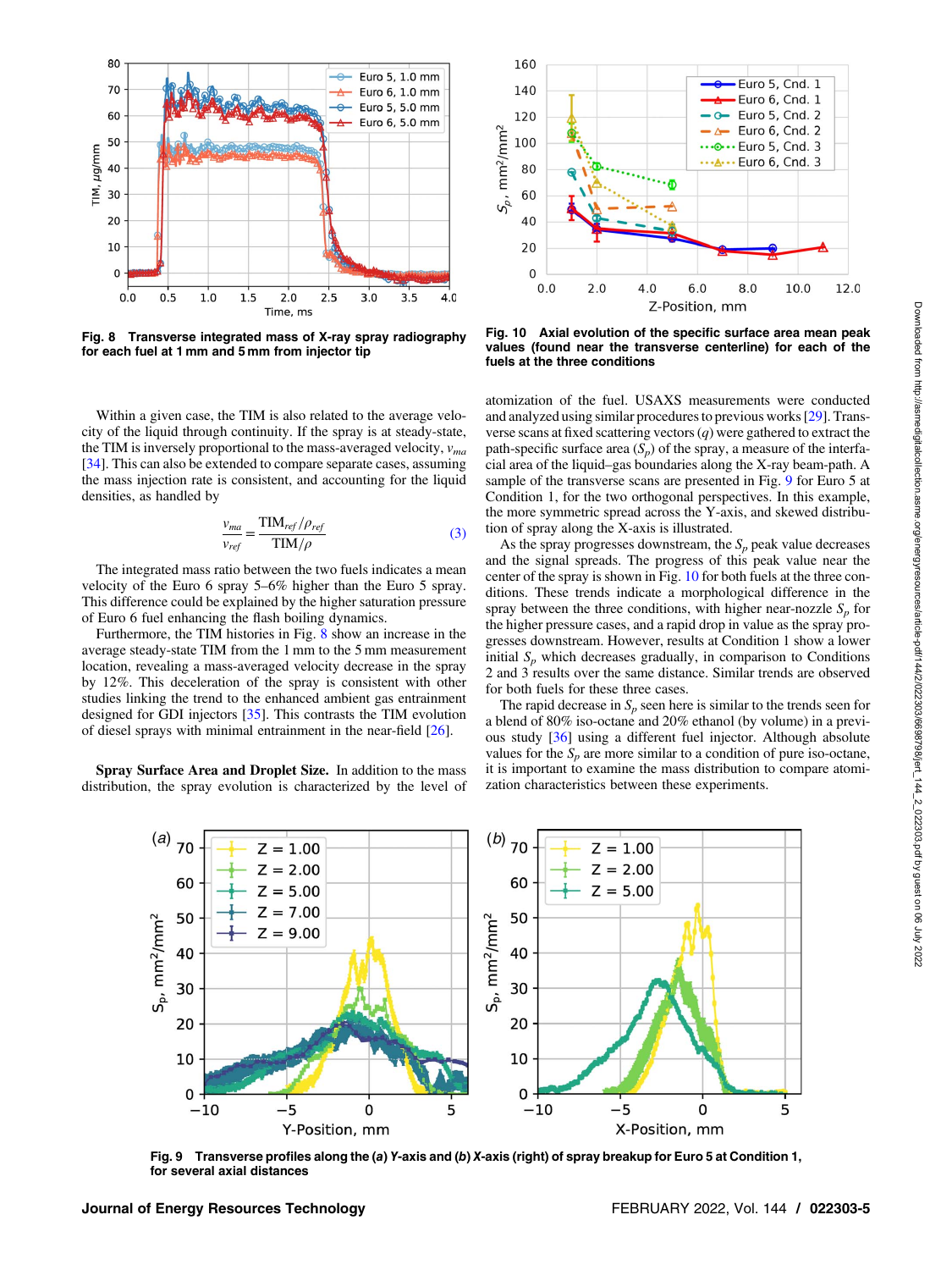<span id="page-4-0"></span>

Fig. 8 Transverse integrated mass of X-ray spray radiography for each fuel at 1 mm and 5 mm from injector tip

Within a given case, the TIM is also related to the average velocity of the liquid through continuity. If the spray is at steady-state, the TIM is inversely proportional to the mass-averaged velocity,  $v_{ma}$ [[34\]](#page-6-0). This can also be extended to compare separate cases, assuming the mass injection rate is consistent, and accounting for the liquid densities, as handled by

$$
\frac{v_{ma}}{v_{ref}} = \frac{\text{TIM}_{ref}/\rho_{ref}}{\text{TIM}/\rho}
$$
(3)

The integrated mass ratio between the two fuels indicates a mean velocity of the Euro 6 spray 5–6% higher than the Euro 5 spray. This difference could be explained by the higher saturation pressure of Euro 6 fuel enhancing the flash boiling dynamics.

Furthermore, the TIM histories in Fig. 8 show an increase in the average steady-state TIM from the 1 mm to the 5 mm measurement location, revealing a mass-averaged velocity decrease in the spray by 12%. This deceleration of the spray is consistent with other studies linking the trend to the enhanced ambient gas entrainment designed for GDI injectors [[35\]](#page-6-0). This contrasts the TIM evolution of diesel sprays with minimal entrainment in the near-field [[26\]](#page-6-0).

Spray Surface Area and Droplet Size. In addition to the mass distribution, the spray evolution is characterized by the level of



Fig. 10 Axial evolution of the specific surface area mean peak values (found near the transverse centerline) for each of the fuels at the three conditions

atomization of the fuel. USAXS measurements were conducted and analyzed using similar procedures to previous works [\[29](#page-6-0)]. Transverse scans at fixed scattering vectors  $(q)$  were gathered to extract the path-specific surface area  $(S_p)$  of the spray, a measure of the interfacial area of the liquid–gas boundaries along the X-ray beam-path. A sample of the transverse scans are presented in Fig. 9 for Euro 5 at Condition 1, for the two orthogonal perspectives. In this example, the more symmetric spread across the Y-axis, and skewed distribution of spray along the X-axis is illustrated.

As the spray progresses downstream, the  $S_p$  peak value decreases and the signal spreads. The progress of this peak value near the center of the spray is shown in Fig. 10 for both fuels at the three conditions. These trends indicate a morphological difference in the spray between the three conditions, with higher near-nozzle  $S_p$  for the higher pressure cases, and a rapid drop in value as the spray progresses downstream. However, results at Condition 1 show a lower initial  $S_p$  which decreases gradually, in comparison to Conditions 2 and 3 results over the same distance. Similar trends are observed for both fuels for these three cases.

The rapid decrease in  $S_p$  seen here is similar to the trends seen for a blend of 80% iso-octane and 20% ethanol (by volume) in a previous study [\[36](#page-6-0)] using a different fuel injector. Although absolute values for the  $S_p$  are more similar to a condition of pure iso-octane, it is important to examine the mass distribution to compare atomization characteristics between these experiments.



Fig. 9 Transverse profiles along the (a) Y-axis and (b) X-axis (right) of spray breakup for Euro 5 at Condition 1, for several axial distances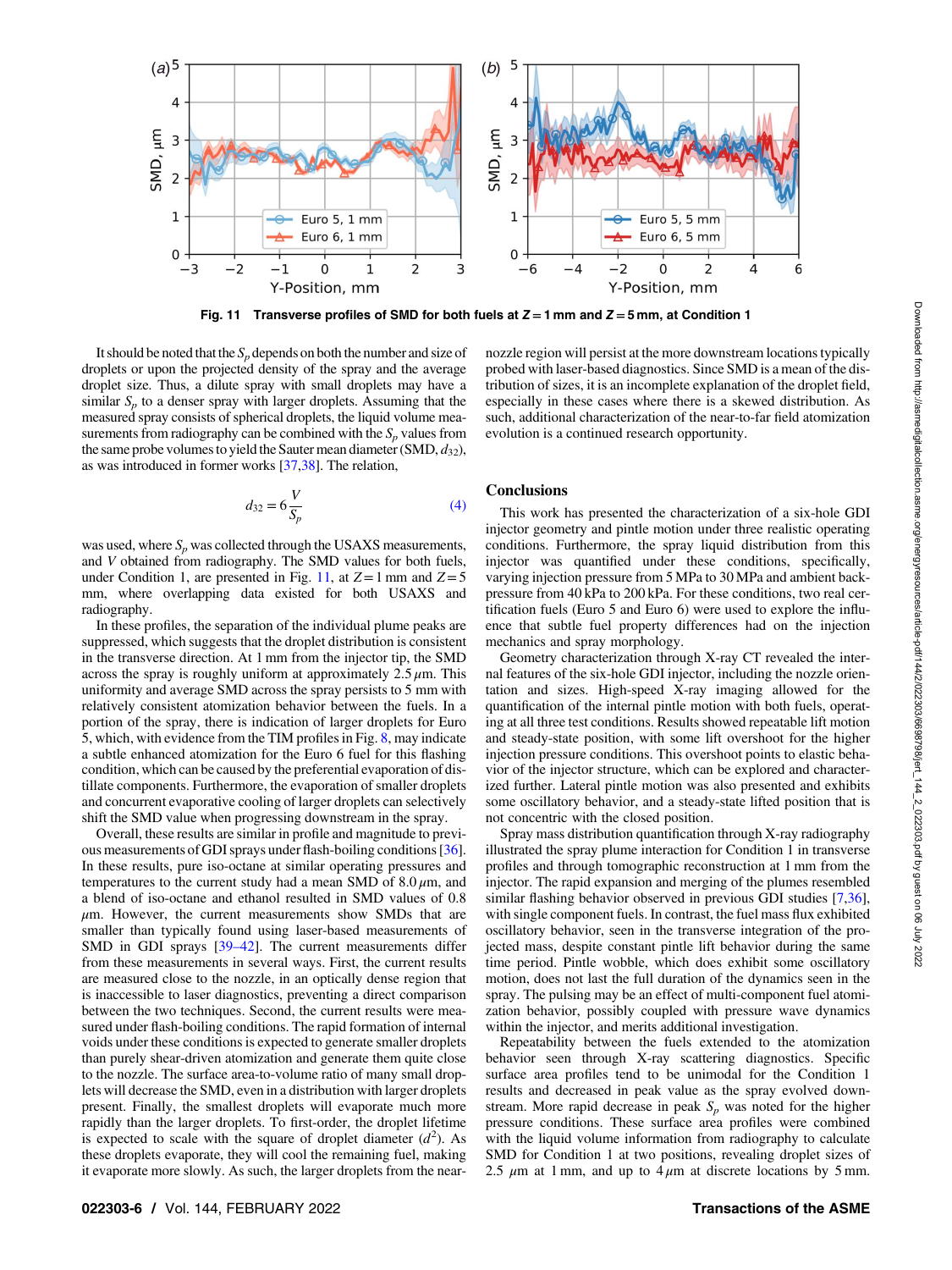

Fig. 11 Transverse profiles of SMD for both fuels at  $Z = 1$  mm and  $Z = 5$  mm, at Condition 1

It should be noted that the  $S_p$  depends on both the number and size of droplets or upon the projected density of the spray and the average droplet size. Thus, a dilute spray with small droplets may have a similar  $S_p$  to a denser spray with larger droplets. Assuming that the measured spray consists of spherical droplets, the liquid volume measurements from radiography can be combined with the  $S_p$  values from the same probe volumes to yield the Sauter mean diameter (SMD,  $d_{32}$ ), as was introduced in former works [\[37,38\]](#page-6-0). The relation,

$$
d_{32} = 6\frac{V}{S_p} \tag{4}
$$

was used, where  $S_n$  was collected through the USAXS measurements, and V obtained from radiography. The SMD values for both fuels, under Condition 1, are presented in Fig. 11, at  $Z=1$  mm and  $Z=5$ mm, where overlapping data existed for both USAXS and radiography.

In these profiles, the separation of the individual plume peaks are suppressed, which suggests that the droplet distribution is consistent in the transverse direction. At 1 mm from the injector tip, the SMD across the spray is roughly uniform at approximately  $2.5 \mu$ m. This uniformity and average SMD across the spray persists to 5 mm with relatively consistent atomization behavior between the fuels. In a portion of the spray, there is indication of larger droplets for Euro 5, which, with evidence from the TIM profiles in Fig. [8](#page-4-0), may indicate a subtle enhanced atomization for the Euro 6 fuel for this flashing condition, which can be caused by the preferential evaporation of distillate components. Furthermore, the evaporation of smaller droplets and concurrent evaporative cooling of larger droplets can selectively shift the SMD value when progressing downstream in the spray.

Overall, these results are similar in profile and magnitude to previous measurements of GDI sprays under flash-boiling conditions [[36\]](#page-6-0). In these results, pure iso-octane at similar operating pressures and temperatures to the current study had a mean SMD of  $8.0 \mu m$ , and a blend of iso-octane and ethanol resulted in SMD values of 0.8  $\mu$ m. However, the current measurements show SMDs that are smaller than typically found using laser-based measurements of SMD in GDI sprays [39–42]. The current measurements differ from these measurements in several ways. First, the current results are measured close to the nozzle, in an optically dense region that is inaccessible to laser diagnostics, preventing a direct comparison between the two techniques. Second, the current results were measured under flash-boiling conditions. The rapid formation of internal voids under these conditions is expected to generate smaller droplets than purely shear-driven atomization and generate them quite close to the nozzle. The surface area-to-volume ratio of many small droplets will decrease the SMD, even in a distribution with larger droplets present. Finally, the smallest droplets will evaporate much more rapidly than the larger droplets. To first-order, the droplet lifetime is expected to scale with the square of droplet diameter  $(d^2)$ . As these droplets evaporate, they will cool the remaining fuel, making it evaporate more slowly. As such, the larger droplets from the nearnozzle region will persist at the more downstream locations typically probed with laser-based diagnostics. Since SMD is a mean of the distribution of sizes, it is an incomplete explanation of the droplet field, especially in these cases where there is a skewed distribution. As such, additional characterization of the near-to-far field atomization evolution is a continued research opportunity.

### **Conclusions**

This work has presented the characterization of a six-hole GDI injector geometry and pintle motion under three realistic operating conditions. Furthermore, the spray liquid distribution from this injector was quantified under these conditions, specifically, varying injection pressure from 5 MPa to 30 MPa and ambient backpressure from 40 kPa to 200 kPa. For these conditions, two real certification fuels (Euro 5 and Euro 6) were used to explore the influence that subtle fuel property differences had on the injection mechanics and spray morphology.

Geometry characterization through X-ray CT revealed the internal features of the six-hole GDI injector, including the nozzle orientation and sizes. High-speed X-ray imaging allowed for the quantification of the internal pintle motion with both fuels, operating at all three test conditions. Results showed repeatable lift motion and steady-state position, with some lift overshoot for the higher injection pressure conditions. This overshoot points to elastic behavior of the injector structure, which can be explored and characterized further. Lateral pintle motion was also presented and exhibits some oscillatory behavior, and a steady-state lifted position that is not concentric with the closed position.

Spray mass distribution quantification through X-ray radiography illustrated the spray plume interaction for Condition 1 in transverse profiles and through tomographic reconstruction at 1 mm from the injector. The rapid expansion and merging of the plumes resembled similar flashing behavior observed in previous GDI studies [\[7,36\]](#page-6-0), with single component fuels. In contrast, the fuel mass flux exhibited oscillatory behavior, seen in the transverse integration of the projected mass, despite constant pintle lift behavior during the same time period. Pintle wobble, which does exhibit some oscillatory motion, does not last the full duration of the dynamics seen in the spray. The pulsing may be an effect of multi-component fuel atomization behavior, possibly coupled with pressure wave dynamics within the injector, and merits additional investigation.

Repeatability between the fuels extended to the atomization behavior seen through X-ray scattering diagnostics. Specific surface area profiles tend to be unimodal for the Condition 1 results and decreased in peak value as the spray evolved downstream. More rapid decrease in peak  $S_p$  was noted for the higher pressure conditions. These surface area profiles were combined with the liquid volume information from radiography to calculate SMD for Condition 1 at two positions, revealing droplet sizes of 2.5  $\mu$ m at 1 mm, and up to 4  $\mu$ m at discrete locations by 5 mm.